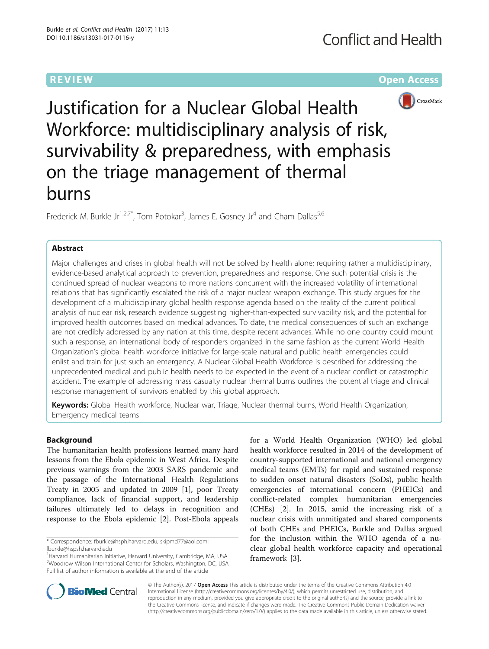**REVIEW CONTROL** CONTROL CONTROL CONTROL CONTROL CONTROL CONTROL CONTROL CONTROL CONTROL CONTROL CONTROL CONTROL



Justification for a Nuclear Global Health Workforce: multidisciplinary analysis of risk, survivability & preparedness, with emphasis on the triage management of thermal burns

Frederick M. Burkle Jr<sup>1,2,7\*</sup>, Tom Potokar<sup>3</sup>, James E. Gosney Jr<sup>4</sup> and Cham Dallas<sup>5,6</sup>

# Abstract

Major challenges and crises in global health will not be solved by health alone; requiring rather a multidisciplinary, evidence-based analytical approach to prevention, preparedness and response. One such potential crisis is the continued spread of nuclear weapons to more nations concurrent with the increased volatility of international relations that has significantly escalated the risk of a major nuclear weapon exchange. This study argues for the development of a multidisciplinary global health response agenda based on the reality of the current political analysis of nuclear risk, research evidence suggesting higher-than-expected survivability risk, and the potential for improved health outcomes based on medical advances. To date, the medical consequences of such an exchange are not credibly addressed by any nation at this time, despite recent advances. While no one country could mount such a response, an international body of responders organized in the same fashion as the current World Health Organization's global health workforce initiative for large-scale natural and public health emergencies could enlist and train for just such an emergency. A Nuclear Global Health Workforce is described for addressing the unprecedented medical and public health needs to be expected in the event of a nuclear conflict or catastrophic accident. The example of addressing mass casualty nuclear thermal burns outlines the potential triage and clinical response management of survivors enabled by this global approach.

Keywords: Global Health workforce, Nuclear war, Triage, Nuclear thermal burns, World Health Organization, Emergency medical teams

# Background

The humanitarian health professions learned many hard lessons from the Ebola epidemic in West Africa. Despite previous warnings from the 2003 SARS pandemic and the passage of the International Health Regulations Treaty in 2005 and updated in 2009 [[1\]](#page-7-0), poor Treaty compliance, lack of financial support, and leadership failures ultimately led to delays in recognition and response to the Ebola epidemic [\[2\]](#page-7-0). Post-Ebola appeals

[fburkle@hspsh.harvard.edu](mailto:fburkle@hspsh.harvard.edu)

for a World Health Organization (WHO) led global health workforce resulted in 2014 of the development of country-supported international and national emergency medical teams (EMTs) for rapid and sustained response to sudden onset natural disasters (SoDs), public health emergencies of international concern (PHEICs) and conflict-related complex humanitarian emergencies (CHEs) [\[2](#page-7-0)]. In 2015, amid the increasing risk of a nuclear crisis with unmitigated and shared components of both CHEs and PHEICs, Burkle and Dallas argued for the inclusion within the WHO agenda of a nuclear global health workforce capacity and operational framework [[3\]](#page-7-0).



© The Author(s). 2017 **Open Access** This article is distributed under the terms of the Creative Commons Attribution 4.0 International License [\(http://creativecommons.org/licenses/by/4.0/](http://creativecommons.org/licenses/by/4.0/)), which permits unrestricted use, distribution, and reproduction in any medium, provided you give appropriate credit to the original author(s) and the source, provide a link to the Creative Commons license, and indicate if changes were made. The Creative Commons Public Domain Dedication waiver [\(http://creativecommons.org/publicdomain/zero/1.0/](http://creativecommons.org/publicdomain/zero/1.0/)) applies to the data made available in this article, unless otherwise stated.

<sup>\*</sup> Correspondence: [fburkle@hsph.harvard.edu;](mailto:fburkle@hsph.harvard.edu) [skipmd77@aol.com;](mailto:skipmd77@aol.com)

<sup>&</sup>lt;sup>1</sup> Harvard Humanitarian Initiative, Harvard University, Cambridge, MA, USA 2 Woodrow Wilson International Center for Scholars, Washington, DC, USA Full list of author information is available at the end of the article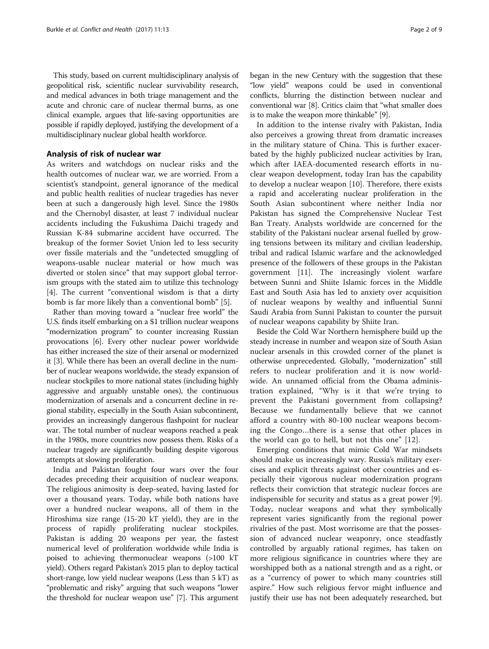This study, based on current multidisciplinary analysis of geopolitical risk, scientific nuclear survivability research, and medical advances in both triage management and the acute and chronic care of nuclear thermal burns, as one clinical example, argues that life-saving opportunities are possible if rapidly deployed, justifying the development of a multidisciplinary nuclear global health workforce.

# Analysis of risk of nuclear war

As writers and watchdogs on nuclear risks and the health outcomes of nuclear war, we are worried. From a scientist's standpoint, general ignorance of the medical and public health realities of nuclear tragedies has never been at such a dangerously high level. Since the 1980s and the Chernobyl disaster, at least 7 individual nuclear accidents including the Fukushima Daichi tragedy and Russian K-84 submarine accident have occurred. The breakup of the former Soviet Union led to less security over fissile materials and the "undetected smuggling of weapons-usable nuclear material or how much was diverted or stolen since" that may support global terrorism groups with the stated aim to utilize this technology [[4\]](#page-7-0). The current "conventional wisdom is that a dirty bomb is far more likely than a conventional bomb" [\[5](#page-7-0)].

Rather than moving toward a "nuclear free world" the U.S. finds itself embarking on a \$1 trillion nuclear weapons "modernization program" to counter increasing Russian provocations [\[6\]](#page-7-0). Every other nuclear power worldwide has either increased the size of their arsenal or modernized it [\[3](#page-7-0)]. While there has been an overall decline in the number of nuclear weapons worldwide, the steady expansion of nuclear stockpiles to more national states (including highly aggressive and arguably unstable ones), the continuous modernization of arsenals and a concurrent decline in regional stability, especially in the South Asian subcontinent, provides an increasingly dangerous flashpoint for nuclear war. The total number of nuclear weapons reached a peak in the 1980s, more countries now possess them. Risks of a nuclear tragedy are significantly building despite vigorous attempts at slowing proliferation.

India and Pakistan fought four wars over the four decades preceding their acquisition of nuclear weapons. The religious animosity is deep-seated, having lasted for over a thousand years. Today, while both nations have over a hundred nuclear weapons, all of them in the Hiroshima size range (15-20 kT yield), they are in the process of rapidly proliferating nuclear stockpiles. Pakistan is adding 20 weapons per year, the fastest numerical level of proliferation worldwide while India is poised to achieving thermonuclear weapons (>100 kT yield). Others regard Pakistan's 2015 plan to deploy tactical short-range, low yield nuclear weapons (Less than 5 kT) as "problematic and risky" arguing that such weapons "lower the threshold for nuclear weapon use" [\[7\]](#page-7-0). This argument

began in the new Century with the suggestion that these "low yield" weapons could be used in conventional conflicts, blurring the distinction between nuclear and conventional war [[8\]](#page-7-0). Critics claim that "what smaller does is to make the weapon more thinkable" [\[9\]](#page-7-0).

In addition to the intense rivalry with Pakistan, India also perceives a growing threat from dramatic increases in the military stature of China. This is further exacerbated by the highly publicized nuclear activities by Iran, which after IAEA-documented research efforts in nuclear weapon development, today Iran has the capability to develop a nuclear weapon [\[10](#page-7-0)]. Therefore, there exists a rapid and accelerating nuclear proliferation in the South Asian subcontinent where neither India nor Pakistan has signed the Comprehensive Nuclear Test Ban Treaty. Analysts worldwide are concerned for the stability of the Pakistani nuclear arsenal fuelled by growing tensions between its military and civilian leadership, tribal and radical Islamic warfare and the acknowledged presence of the followers of these groups in the Pakistan government [[11\]](#page-8-0). The increasingly violent warfare between Sunni and Shiite Islamic forces in the Middle East and South Asia has led to anxiety over acquisition of nuclear weapons by wealthy and influential Sunni Saudi Arabia from Sunni Pakistan to counter the pursuit of nuclear weapons capability by Shiite Iran.

Beside the Cold War Northern hemisphere build up the steady increase in number and weapon size of South Asian nuclear arsenals in this crowded corner of the planet is otherwise unprecedented. Globally, "modernization" still refers to nuclear proliferation and it is now worldwide. An unnamed official from the Obama administration explained, "Why is it that we're trying to prevent the Pakistani government from collapsing? Because we fundamentally believe that we cannot afford a country with 80-100 nuclear weapons becoming the Congo…there is a sense that other places in the world can go to hell, but not this one" [\[12](#page-8-0)].

Emerging conditions that mimic Cold War mindsets should make us increasingly wary. Russia's military exercises and explicit threats against other countries and especially their vigorous nuclear modernization program reflects their conviction that strategic nuclear forces are indispensible for security and status as a great power [\[9](#page-7-0)]. Today, nuclear weapons and what they symbolically represent varies significantly from the regional power rivalries of the past. Most worrisome are that the possession of advanced nuclear weaponry, once steadfastly controlled by arguably rational regimes, has taken on more religious significance in countries where they are worshipped both as a national strength and as a right, or as a "currency of power to which many countries still aspire." How such religious fervor might influence and justify their use has not been adequately researched, but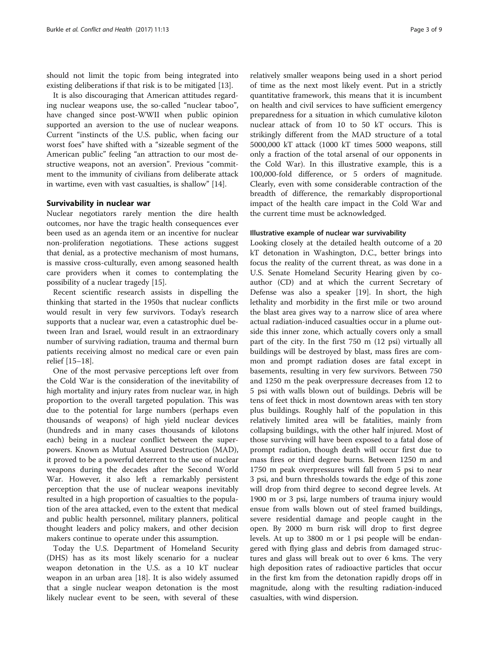should not limit the topic from being integrated into existing deliberations if that risk is to be mitigated [[13\]](#page-8-0).

It is also discouraging that American attitudes regarding nuclear weapons use, the so-called "nuclear taboo", have changed since post-WWII when public opinion supported an aversion to the use of nuclear weapons. Current "instincts of the U.S. public, when facing our worst foes" have shifted with a "sizeable segment of the American public" feeling "an attraction to our most destructive weapons, not an aversion". Previous "commitment to the immunity of civilians from deliberate attack in wartime, even with vast casualties, is shallow" [[14\]](#page-8-0).

# Survivability in nuclear war

Nuclear negotiators rarely mention the dire health outcomes, nor have the tragic health consequences ever been used as an agenda item or an incentive for nuclear non-proliferation negotiations. These actions suggest that denial, as a protective mechanism of most humans, is massive cross-culturally, even among seasoned health care providers when it comes to contemplating the possibility of a nuclear tragedy [[15\]](#page-8-0).

Recent scientific research assists in dispelling the thinking that started in the 1950s that nuclear conflicts would result in very few survivors. Today's research supports that a nuclear war, even a catastrophic duel between Iran and Israel, would result in an extraordinary number of surviving radiation, trauma and thermal burn patients receiving almost no medical care or even pain relief [\[15](#page-8-0)–[18\]](#page-8-0).

One of the most pervasive perceptions left over from the Cold War is the consideration of the inevitability of high mortality and injury rates from nuclear war, in high proportion to the overall targeted population. This was due to the potential for large numbers (perhaps even thousands of weapons) of high yield nuclear devices (hundreds and in many cases thousands of kilotons each) being in a nuclear conflict between the superpowers. Known as Mutual Assured Destruction (MAD), it proved to be a powerful deterrent to the use of nuclear weapons during the decades after the Second World War. However, it also left a remarkably persistent perception that the use of nuclear weapons inevitably resulted in a high proportion of casualties to the population of the area attacked, even to the extent that medical and public health personnel, military planners, political thought leaders and policy makers, and other decision makers continue to operate under this assumption.

Today the U.S. Department of Homeland Security (DHS) has as its most likely scenario for a nuclear weapon detonation in the U.S. as a 10 kT nuclear weapon in an urban area [[18\]](#page-8-0). It is also widely assumed that a single nuclear weapon detonation is the most likely nuclear event to be seen, with several of these

relatively smaller weapons being used in a short period of time as the next most likely event. Put in a strictly quantitative framework, this means that it is incumbent on health and civil services to have sufficient emergency preparedness for a situation in which cumulative kiloton nuclear attack of from 10 to 50 kT occurs. This is strikingly different from the MAD structure of a total 5000,000 kT attack (1000 kT times 5000 weapons, still only a fraction of the total arsenal of our opponents in the Cold War). In this illustrative example, this is a 100,000-fold difference, or 5 orders of magnitude. Clearly, even with some considerable contraction of the breadth of difference, the remarkably disproportional impact of the health care impact in the Cold War and the current time must be acknowledged.

### Illustrative example of nuclear war survivability

Looking closely at the detailed health outcome of a 20 kT detonation in Washington, D.C., better brings into focus the reality of the current threat, as was done in a U.S. Senate Homeland Security Hearing given by coauthor (CD) and at which the current Secretary of Defense was also a speaker [[19](#page-8-0)]. In short, the high lethality and morbidity in the first mile or two around the blast area gives way to a narrow slice of area where actual radiation-induced casualties occur in a plume outside this inner zone, which actually covers only a small part of the city. In the first 750 m (12 psi) virtually all buildings will be destroyed by blast, mass fires are common and prompt radiation doses are fatal except in basements, resulting in very few survivors. Between 750 and 1250 m the peak overpressure decreases from 12 to 5 psi with walls blown out of buildings. Debris will be tens of feet thick in most downtown areas with ten story plus buildings. Roughly half of the population in this relatively limited area will be fatalities, mainly from collapsing buildings, with the other half injured. Most of those surviving will have been exposed to a fatal dose of prompt radiation, though death will occur first due to mass fires or third degree burns. Between 1250 m and 1750 m peak overpressures will fall from 5 psi to near 3 psi, and burn thresholds towards the edge of this zone will drop from third degree to second degree levels. At 1900 m or 3 psi, large numbers of trauma injury would ensue from walls blown out of steel framed buildings, severe residential damage and people caught in the open. By 2000 m burn risk will drop to first degree levels. At up to 3800 m or 1 psi people will be endangered with flying glass and debris from damaged structures and glass will break out to over 6 kms. The very high deposition rates of radioactive particles that occur in the first km from the detonation rapidly drops off in magnitude, along with the resulting radiation-induced casualties, with wind dispersion.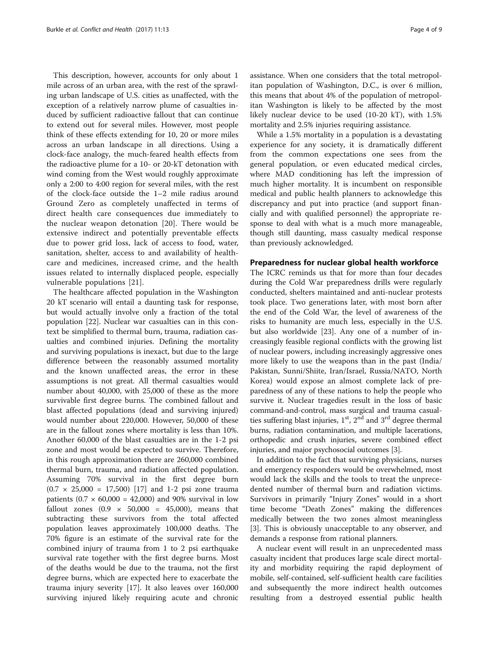This description, however, accounts for only about 1 mile across of an urban area, with the rest of the sprawling urban landscape of U.S. cities as unaffected, with the exception of a relatively narrow plume of casualties induced by sufficient radioactive fallout that can continue to extend out for several miles. However, most people think of these effects extending for 10, 20 or more miles across an urban landscape in all directions. Using a clock-face analogy, the much-feared health effects from the radioactive plume for a 10- or 20-kT detonation with wind coming from the West would roughly approximate only a 2:00 to 4:00 region for several miles, with the rest of the clock-face outside the 1–2 mile radius around Ground Zero as completely unaffected in terms of direct health care consequences due immediately to the nuclear weapon detonation [\[20](#page-8-0)]. There would be extensive indirect and potentially preventable effects due to power grid loss, lack of access to food, water, sanitation, shelter, access to and availability of healthcare and medicines, increased crime, and the health issues related to internally displaced people, especially vulnerable populations [[21\]](#page-8-0).

The healthcare affected population in the Washington 20 kT scenario will entail a daunting task for response, but would actually involve only a fraction of the total population [[22\]](#page-8-0). Nuclear war casualties can in this context be simplified to thermal burn, trauma, radiation casualties and combined injuries. Defining the mortality and surviving populations is inexact, but due to the large difference between the reasonably assumed mortality and the known unaffected areas, the error in these assumptions is not great. All thermal casualties would number about 40,000, with 25,000 of these as the more survivable first degree burns. The combined fallout and blast affected populations (dead and surviving injured) would number about 220,000. However, 50,000 of these are in the fallout zones where mortality is less than 10%. Another 60,000 of the blast casualties are in the 1-2 psi zone and most would be expected to survive. Therefore, in this rough approximation there are 260,000 combined thermal burn, trauma, and radiation affected population. Assuming 70% survival in the first degree burn  $(0.7 \times 25,000 = 17,500)$  [\[17\]](#page-8-0) and 1-2 psi zone trauma patients  $(0.7 \times 60,000 = 42,000)$  and 90% survival in low fallout zones  $(0.9 \times 50,000 = 45,000)$ , means that subtracting these survivors from the total affected population leaves approximately 100,000 deaths. The 70% figure is an estimate of the survival rate for the combined injury of trauma from 1 to 2 psi earthquake survival rate together with the first degree burns. Most of the deaths would be due to the trauma, not the first degree burns, which are expected here to exacerbate the trauma injury severity [\[17](#page-8-0)]. It also leaves over 160,000 surviving injured likely requiring acute and chronic assistance. When one considers that the total metropolitan population of Washington, D.C., is over 6 million, this means that about 4% of the population of metropolitan Washington is likely to be affected by the most likely nuclear device to be used (10-20 kT), with 1.5% mortality and 2.5% injuries requiring assistance.

While a 1.5% mortality in a population is a devastating experience for any society, it is dramatically different from the common expectations one sees from the general population, or even educated medical circles, where MAD conditioning has left the impression of much higher mortality. It is incumbent on responsible medical and public health planners to acknowledge this discrepancy and put into practice (and support financially and with qualified personnel) the appropriate response to deal with what is a much more manageable, though still daunting, mass casualty medical response than previously acknowledged.

# Preparedness for nuclear global health workforce

The ICRC reminds us that for more than four decades during the Cold War preparedness drills were regularly conducted, shelters maintained and anti-nuclear protests took place. Two generations later, with most born after the end of the Cold War, the level of awareness of the risks to humanity are much less, especially in the U.S. but also worldwide [\[23\]](#page-8-0). Any one of a number of increasingly feasible regional conflicts with the growing list of nuclear powers, including increasingly aggressive ones more likely to use the weapons than in the past (India/ Pakistan, Sunni/Shiite, Iran/Israel, Russia/NATO, North Korea) would expose an almost complete lack of preparedness of any of these nations to help the people who survive it. Nuclear tragedies result in the loss of basic command-and-control, mass surgical and trauma casualties suffering blast injuries,  $1<sup>st</sup>$ ,  $2<sup>nd</sup>$  and  $3<sup>rd</sup>$  degree thermal burns, radiation contamination, and multiple lacerations, orthopedic and crush injuries, severe combined effect injuries, and major psychosocial outcomes [[3](#page-7-0)].

In addition to the fact that surviving physicians, nurses and emergency responders would be overwhelmed, most would lack the skills and the tools to treat the unprecedented number of thermal burn and radiation victims. Survivors in primarily "Injury Zones" would in a short time become "Death Zones" making the differences medically between the two zones almost meaningless [[3\]](#page-7-0). This is obviously unacceptable to any observer, and demands a response from rational planners.

A nuclear event will result in an unprecedented mass casualty incident that produces large scale direct mortality and morbidity requiring the rapid deployment of mobile, self-contained, self-sufficient health care facilities and subsequently the more indirect health outcomes resulting from a destroyed essential public health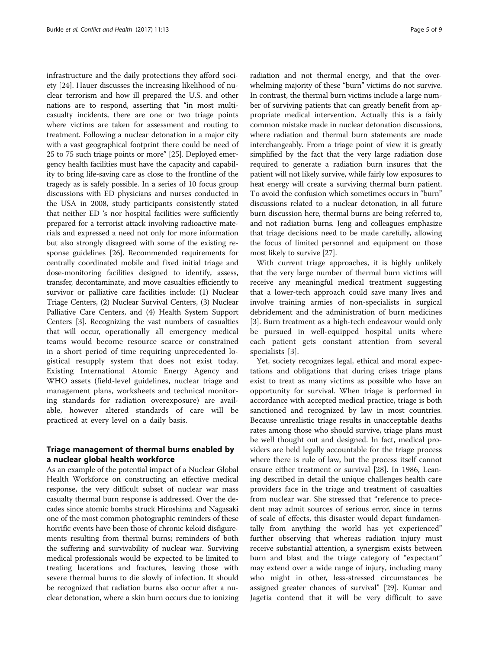infrastructure and the daily protections they afford society [[24\]](#page-8-0). Hauer discusses the increasing likelihood of nuclear terrorism and how ill prepared the U.S. and other nations are to respond, asserting that "in most multicasualty incidents, there are one or two triage points where victims are taken for assessment and routing to treatment. Following a nuclear detonation in a major city with a vast geographical footprint there could be need of 25 to 75 such triage points or more" [[25](#page-8-0)]. Deployed emergency health facilities must have the capacity and capability to bring life-saving care as close to the frontline of the tragedy as is safely possible. In a series of 10 focus group discussions with ED physicians and nurses conducted in the USA in 2008, study participants consistently stated that neither ED 's nor hospital facilities were sufficiently prepared for a terrorist attack involving radioactive materials and expressed a need not only for more information but also strongly disagreed with some of the existing response guidelines [[26](#page-8-0)]. Recommended requirements for centrally coordinated mobile and fixed initial triage and dose-monitoring facilities designed to identify, assess, transfer, decontaminate, and move casualties efficiently to survivor or palliative care facilities include: (1) Nuclear Triage Centers, (2) Nuclear Survival Centers, (3) Nuclear Palliative Care Centers, and (4) Health System Support Centers [\[3](#page-7-0)]. Recognizing the vast numbers of casualties that will occur, operationally all emergency medical teams would become resource scarce or constrained in a short period of time requiring unprecedented logistical resupply system that does not exist today. Existing International Atomic Energy Agency and WHO assets (field-level guidelines, nuclear triage and management plans, worksheets and technical monitoring standards for radiation overexposure) are available, however altered standards of care will be practiced at every level on a daily basis.

# Triage management of thermal burns enabled by a nuclear global health workforce

As an example of the potential impact of a Nuclear Global Health Workforce on constructing an effective medical response, the very difficult subset of nuclear war mass casualty thermal burn response is addressed. Over the decades since atomic bombs struck Hiroshima and Nagasaki one of the most common photographic reminders of these horrific events have been those of chronic keloid disfigurements resulting from thermal burns; reminders of both the suffering and survivability of nuclear war. Surviving medical professionals would be expected to be limited to treating lacerations and fractures, leaving those with severe thermal burns to die slowly of infection. It should be recognized that radiation burns also occur after a nuclear detonation, where a skin burn occurs due to ionizing radiation and not thermal energy, and that the overwhelming majority of these "burn" victims do not survive. In contrast, the thermal burn victims include a large number of surviving patients that can greatly benefit from appropriate medical intervention. Actually this is a fairly common mistake made in nuclear detonation discussions, where radiation and thermal burn statements are made interchangeably. From a triage point of view it is greatly simplified by the fact that the very large radiation dose required to generate a radiation burn insures that the patient will not likely survive, while fairly low exposures to heat energy will create a surviving thermal burn patient. To avoid the confusion which sometimes occurs in "burn" discussions related to a nuclear detonation, in all future burn discussion here, thermal burns are being referred to, and not radiation burns. Jeng and colleagues emphasize that triage decisions need to be made carefully, allowing the focus of limited personnel and equipment on those most likely to survive [[27](#page-8-0)].

With current triage approaches, it is highly unlikely that the very large number of thermal burn victims will receive any meaningful medical treatment suggesting that a lower-tech approach could save many lives and involve training armies of non-specialists in surgical debridement and the administration of burn medicines [[3\]](#page-7-0). Burn treatment as a high-tech endeavour would only be pursued in well-equipped hospital units where each patient gets constant attention from several specialists [[3\]](#page-7-0).

Yet, society recognizes legal, ethical and moral expectations and obligations that during crises triage plans exist to treat as many victims as possible who have an opportunity for survival. When triage is performed in accordance with accepted medical practice, triage is both sanctioned and recognized by law in most countries. Because unrealistic triage results in unacceptable deaths rates among those who should survive, triage plans must be well thought out and designed. In fact, medical providers are held legally accountable for the triage process where there is rule of law, but the process itself cannot ensure either treatment or survival [\[28\]](#page-8-0). In 1986, Leaning described in detail the unique challenges health care providers face in the triage and treatment of casualties from nuclear war. She stressed that "reference to precedent may admit sources of serious error, since in terms of scale of effects, this disaster would depart fundamentally from anything the world has yet experienced" further observing that whereas radiation injury must receive substantial attention, a synergism exists between burn and blast and the triage category of "expectant" may extend over a wide range of injury, including many who might in other, less-stressed circumstances be assigned greater chances of survival" [\[29](#page-8-0)]. Kumar and Jagetia contend that it will be very difficult to save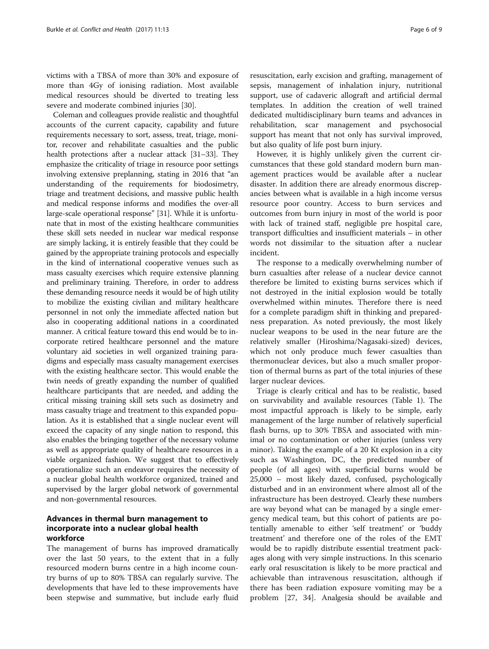victims with a TBSA of more than 30% and exposure of more than 4Gy of ionising radiation. Most available medical resources should be diverted to treating less severe and moderate combined injuries [\[30\]](#page-8-0).

Coleman and colleagues provide realistic and thoughtful accounts of the current capacity, capability and future requirements necessary to sort, assess, treat, triage, monitor, recover and rehabilitate casualties and the public health protections after a nuclear attack [\[31](#page-8-0)–[33](#page-8-0)]. They emphasize the criticality of triage in resource poor settings involving extensive preplanning, stating in 2016 that "an understanding of the requirements for biodosimetry, triage and treatment decisions, and massive public health and medical response informs and modifies the over-all large-scale operational response" [\[31\]](#page-8-0). While it is unfortunate that in most of the existing healthcare communities these skill sets needed in nuclear war medical response are simply lacking, it is entirely feasible that they could be gained by the appropriate training protocols and especially in the kind of international cooperative venues such as mass casualty exercises which require extensive planning and preliminary training. Therefore, in order to address these demanding resource needs it would be of high utility to mobilize the existing civilian and military healthcare personnel in not only the immediate affected nation but also in cooperating additional nations in a coordinated manner. A critical feature toward this end would be to incorporate retired healthcare personnel and the mature voluntary aid societies in well organized training paradigms and especially mass casualty management exercises with the existing healthcare sector. This would enable the twin needs of greatly expanding the number of qualified healthcare participants that are needed, and adding the critical missing training skill sets such as dosimetry and mass casualty triage and treatment to this expanded population. As it is established that a single nuclear event will exceed the capacity of any single nation to respond, this also enables the bringing together of the necessary volume as well as appropriate quality of healthcare resources in a viable organized fashion. We suggest that to effectively operationalize such an endeavor requires the necessity of a nuclear global health workforce organized, trained and supervised by the larger global network of governmental and non-governmental resources.

# Advances in thermal burn management to incorporate into a nuclear global health workforce

The management of burns has improved dramatically over the last 50 years, to the extent that in a fully resourced modern burns centre in a high income country burns of up to 80% TBSA can regularly survive. The developments that have led to these improvements have been stepwise and summative, but include early fluid resuscitation, early excision and grafting, management of sepsis, management of inhalation injury, nutritional support, use of cadaveric allograft and artificial dermal templates. In addition the creation of well trained dedicated multidisciplinary burn teams and advances in rehabilitation, scar management and psychosocial support has meant that not only has survival improved, but also quality of life post burn injury.

However, it is highly unlikely given the current circumstances that these gold standard modern burn management practices would be available after a nuclear disaster. In addition there are already enormous discrepancies between what is available in a high income versus resource poor country. Access to burn services and outcomes from burn injury in most of the world is poor with lack of trained staff, negligible pre hospital care, transport difficulties and insufficient materials – in other words not dissimilar to the situation after a nuclear incident.

The response to a medically overwhelming number of burn casualties after release of a nuclear device cannot therefore be limited to existing burns services which if not destroyed in the initial explosion would be totally overwhelmed within minutes. Therefore there is need for a complete paradigm shift in thinking and preparedness preparation. As noted previously, the most likely nuclear weapons to be used in the near future are the relatively smaller (Hiroshima/Nagasaki-sized) devices, which not only produce much fewer casualties than thermonuclear devices, but also a much smaller proportion of thermal burns as part of the total injuries of these larger nuclear devices.

Triage is clearly critical and has to be realistic, based on survivability and available resources (Table [1](#page-6-0)). The most impactful approach is likely to be simple, early management of the large number of relatively superficial flash burns, up to 30% TBSA and associated with minimal or no contamination or other injuries (unless very minor). Taking the example of a 20 Kt explosion in a city such as Washington, DC, the predicted number of people (of all ages) with superficial burns would be 25,000 – most likely dazed, confused, psychologically disturbed and in an environment where almost all of the infrastructure has been destroyed. Clearly these numbers are way beyond what can be managed by a single emergency medical team, but this cohort of patients are potentially amenable to either 'self treatment' or 'buddy treatment' and therefore one of the roles of the EMT would be to rapidly distribute essential treatment packages along with very simple instructions. In this scenario early oral resuscitation is likely to be more practical and achievable than intravenous resuscitation, although if there has been radiation exposure vomiting may be a problem [[27, 34](#page-8-0)]. Analgesia should be available and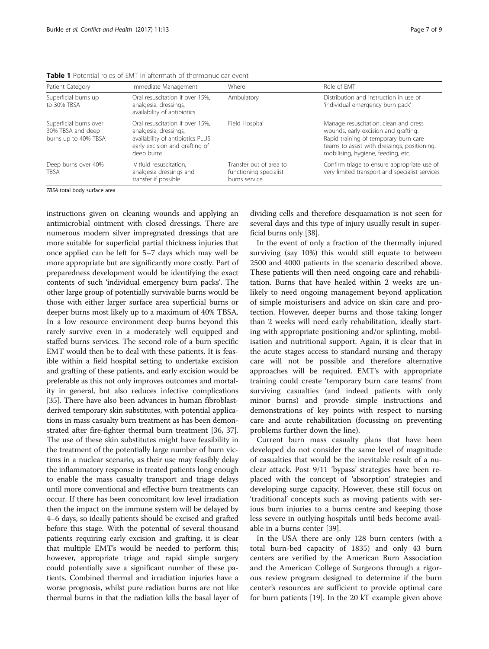| Patient Category                                                    | Immediate Management                                                                                                                         | Where                                                              | Role of EMT                                                                                                                                                                                                  |
|---------------------------------------------------------------------|----------------------------------------------------------------------------------------------------------------------------------------------|--------------------------------------------------------------------|--------------------------------------------------------------------------------------------------------------------------------------------------------------------------------------------------------------|
| Superficial burns up<br>to 30% TBSA                                 | Oral resuscitation if over 15%,<br>analgesia, dressings,<br>availability of antibiotics                                                      | Ambulatory                                                         | Distribution and instruction in use of<br>'individual emergency burn pack'                                                                                                                                   |
| Superficial burns over<br>30% TBSA and deep<br>burns up to 40% TBSA | Oral resuscitation if over 15%,<br>analgesia, dressings,<br>availability of antibiotics PLUS<br>early excision and grafting of<br>deep burns | Field Hospital                                                     | Manage resuscitation, clean and dress<br>wounds, early excision and grafting.<br>Rapid training of temporary burn care<br>teams to assist with dressings, positioning,<br>mobilising, hygiene, feeding, etc. |
| Deep burns over 40%<br><b>TRSA</b>                                  | IV fluid resuscitation.<br>analgesia dressings and<br>transfer if possible                                                                   | Transfer out of area to<br>functioning specialist<br>burns service | Confirm triage to ensure appropriate use of<br>very limited transport and specialist services                                                                                                                |

<span id="page-6-0"></span>Table 1 Potential roles of EMT in aftermath of thermonuclear event

TBSA total body surface area

instructions given on cleaning wounds and applying an antimicrobial ointment with closed dressings. There are numerous modern silver impregnated dressings that are more suitable for superficial partial thickness injuries that once applied can be left for 5–7 days which may well be more appropriate but are significantly more costly. Part of preparedness development would be identifying the exact contents of such 'individual emergency burn packs'. The other large group of potentially survivable burns would be those with either larger surface area superficial burns or deeper burns most likely up to a maximum of 40% TBSA. In a low resource environment deep burns beyond this rarely survive even in a moderately well equipped and staffed burns services. The second role of a burn specific EMT would then be to deal with these patients. It is feasible within a field hospital setting to undertake excision and grafting of these patients, and early excision would be preferable as this not only improves outcomes and mortality in general, but also reduces infective complications [[35](#page-8-0)]. There have also been advances in human fibroblastderived temporary skin substitutes, with potential applications in mass casualty burn treatment as has been demonstrated after fire-fighter thermal burn treatment [\[36, 37](#page-8-0)]. The use of these skin substitutes might have feasibility in the treatment of the potentially large number of burn victims in a nuclear scenario, as their use may feasibly delay the inflammatory response in treated patients long enough to enable the mass casualty transport and triage delays until more conventional and effective burn treatments can occur. If there has been concomitant low level irradiation then the impact on the immune system will be delayed by 4–6 days, so ideally patients should be excised and grafted before this stage. With the potential of several thousand patients requiring early excision and grafting, it is clear that multiple EMT's would be needed to perform this; however, appropriate triage and rapid simple surgery could potentially save a significant number of these patients. Combined thermal and irradiation injuries have a worse prognosis, whilst pure radiation burns are not like thermal burns in that the radiation kills the basal layer of

dividing cells and therefore desquamation is not seen for several days and this type of injury usually result in superficial burns only [[38](#page-8-0)].

In the event of only a fraction of the thermally injured surviving (say 10%) this would still equate to between 2500 and 4000 patients in the scenario described above. These patients will then need ongoing care and rehabilitation. Burns that have healed within 2 weeks are unlikely to need ongoing management beyond application of simple moisturisers and advice on skin care and protection. However, deeper burns and those taking longer than 2 weeks will need early rehabilitation, ideally starting with appropriate positioning and/or splinting, mobilisation and nutritional support. Again, it is clear that in the acute stages access to standard nursing and therapy care will not be possible and therefore alternative approaches will be required. EMT's with appropriate training could create 'temporary burn care teams' from surviving casualties (and indeed patients with only minor burns) and provide simple instructions and demonstrations of key points with respect to nursing care and acute rehabilitation (focussing on preventing problems further down the line).

Current burn mass casualty plans that have been developed do not consider the same level of magnitude of casualties that would be the inevitable result of a nuclear attack. Post 9/11 'bypass' strategies have been replaced with the concept of 'absorption' strategies and developing surge capacity. However, these still focus on 'traditional' concepts such as moving patients with serious burn injuries to a burns centre and keeping those less severe in outlying hospitals until beds become available in a burns center [\[39\]](#page-8-0).

In the USA there are only 128 burn centers (with a total burn-bed capacity of 1835) and only 43 burn centers are verified by the American Burn Association and the American College of Surgeons through a rigorous review program designed to determine if the burn center's resources are sufficient to provide optimal care for burn patients [\[19](#page-8-0)]. In the 20 kT example given above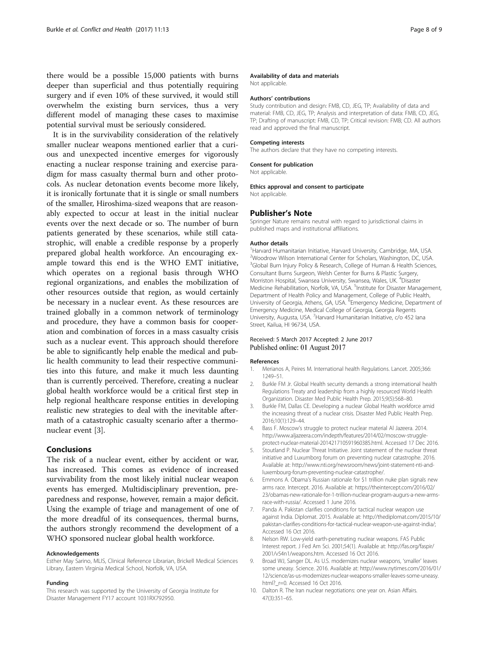<span id="page-7-0"></span>there would be a possible 15,000 patients with burns deeper than superficial and thus potentially requiring surgery and if even 10% of these survived, it would still overwhelm the existing burn services, thus a very different model of managing these cases to maximise potential survival must be seriously considered.

It is in the survivability consideration of the relatively smaller nuclear weapons mentioned earlier that a curious and unexpected incentive emerges for vigorously enacting a nuclear response training and exercise paradigm for mass casualty thermal burn and other protocols. As nuclear detonation events become more likely, it is ironically fortunate that it is single or small numbers of the smaller, Hiroshima-sized weapons that are reasonably expected to occur at least in the initial nuclear events over the next decade or so. The number of burn patients generated by these scenarios, while still catastrophic, will enable a credible response by a properly prepared global health workforce. An encouraging example toward this end is the WHO EMT initiative, which operates on a regional basis through WHO regional organizations, and enables the mobilization of other resources outside that region, as would certainly be necessary in a nuclear event. As these resources are trained globally in a common network of terminology and procedure, they have a common basis for cooperation and combination of forces in a mass casualty crisis such as a nuclear event. This approach should therefore be able to significantly help enable the medical and public health community to lead their respective communities into this future, and make it much less daunting than is currently perceived. Therefore, creating a nuclear global health workforce would be a critical first step in help regional healthcare response entities in developing realistic new strategies to deal with the inevitable aftermath of a catastrophic casualty scenario after a thermonuclear event [3].

# Conclusions

The risk of a nuclear event, either by accident or war, has increased. This comes as evidence of increased survivability from the most likely initial nuclear weapon events has emerged. Multidisciplinary prevention, preparedness and response, however, remain a major deficit. Using the example of triage and management of one of the more dreadful of its consequences, thermal burns, the authors strongly recommend the development of a WHO sponsored nuclear global health workforce.

### Acknowledgements

Esther May Sarino, MLIS, Clinical Reference Librarian, Brickell Medical Sciences Library, Eastern Virginia Medical School, Norfolk, VA, USA.

#### Funding

This research was supported by the University of Georgia Institute for Disaster Management FY17 account 1031RX792950.

#### Availability of data and materials

Not applicable.

#### Authors' contributions

Study contribution and design: FMB, CD, JEG, TP; Availability of data and material: FMB, CD, JEG, TP; Analysis and interpretation of data: FMB, CD, JEG, TP; Drafting of manuscript: FMB, CD, TP; Critical revision: FMB; CD. All authors read and approved the final manuscript.

### Competing interests

The authors declare that they have no competing interests.

### Consent for publication

Not applicable.

#### Ethics approval and consent to participate

Not applicable.

#### Publisher's Note

Springer Nature remains neutral with regard to jurisdictional claims in published maps and institutional affiliations.

#### Author details

<sup>1</sup> Harvard Humanitarian Initiative, Harvard University, Cambridge, MA, USA <sup>2</sup>Woodrow Wilson International Center for Scholars, Washington, DC, USA <sup>3</sup>Global Burn Injury Policy & Research, College of Human & Health Sciences, Consultant Burns Surgeon, Welsh Center for Burns & Plastic Surgery, Morriston Hospital, Swansea University, Swansea, Wales, UK. <sup>4</sup> Disaster Medicine Rehabilitation, Norfolk, VA, USA. <sup>5</sup>Institute for Disaster Management, Department of Health Policy and Management, College of Public Health, University of Georgia, Athens, GA, USA. <sup>6</sup>Emergency Medicine, Department of Emergency Medicine, Medical College of Georgia, Georgia Regents University, Augusta, USA. <sup>7</sup> Harvard Humanitarian Initiative, c/o 452 lana Street, Kailua, HI 96734, USA.

# Received: 5 March 2017 Accepted: 2 June 2017 Published online: 01 August 2017

#### References

- 1. Merianos A, Peires M. International health Regulations. Lancet. 2005;366: 1249–51.
- 2. Burkle FM Jr. Global Health security demands a strong international health Regulations Treaty and leadership from a highly resourced World Health Organization. Disaster Med Public Health Prep. 2015;9(5):568–80.
- 3. Burkle FM, Dallas CE. Developing a nuclear Global Health workforce amid the increasing threat of a nuclear crisis. Disaster Med Public Health Prep. 2016;10(1):129–44.
- 4. Bass F. Moscow's struggle to protect nuclear material Al Jazeera. 2014. [http://www.aljazeera.com/indepth/features/2014/02/moscow-struggle](http://www.aljazeera.com/indepth/features/2014/02/moscow-struggle-protect-nuclear-material-201421710591960385.html)[protect-nuclear-material-201421710591960385.html.](http://www.aljazeera.com/indepth/features/2014/02/moscow-struggle-protect-nuclear-material-201421710591960385.html) Accessed 17 Dec 2016.
- 5. Stoutland P. Nuclear Threat Initiative. Joint statement of the nuclear threat initiative and Luxumborg forum on preventing nuclear catastrophe. 2016. Available at: [http://www.nti.org/newsroom/news/joint-statement-nti-and](http://www.nti.org/newsroom/news/joint-statement-nti-and-luxembourg-forum-preventing-nuclear-catastrophe/)[luxembourg-forum-preventing-nuclear-catastrophe/](http://www.nti.org/newsroom/news/joint-statement-nti-and-luxembourg-forum-preventing-nuclear-catastrophe/).
- 6. Emmons A. Obama's Russian rationale for \$1 trillion nuke plan signals new arms race. Intercept. 2016. Available at: [https://theintercept.com/2016/02/](https://theintercept.com/2016/02/23/obamas-new-rationale-for-1-trillion-nuclear-program-augurs-a-new-arms-race-with-russia/) [23/obamas-new-rationale-for-1-trillion-nuclear-program-augurs-a-new-arms](https://theintercept.com/2016/02/23/obamas-new-rationale-for-1-trillion-nuclear-program-augurs-a-new-arms-race-with-russia/)[race-with-russia/](https://theintercept.com/2016/02/23/obamas-new-rationale-for-1-trillion-nuclear-program-augurs-a-new-arms-race-with-russia/). Accessed 1 June 2016.
- 7. Panda A. Pakistan clarifies conditions for tactical nuclear weapon use against India. Diplomat. 2015. Available at: [http://thediplomat.com/2015/10/](http://thediplomat.com/2015/10/pakistan-clarifies-conditions-for-tactical-nuclear-weapon-use-against-india/) [pakistan-clarifies-conditions-for-tactical-nuclear-weapon-use-against-india/;](http://thediplomat.com/2015/10/pakistan-clarifies-conditions-for-tactical-nuclear-weapon-use-against-india/) Accessed 16 Oct 2016.
- 8. Nelson RW. Low-yield earth-penetrating nuclear weapons. FAS Public Interest report. J Fed Am Sci. 2001;54(1). Available at: [http://fas.org/faspir/](http://fas.org/faspir/2001/v54n1/weapons.htm) [2001/v54n1/weapons.htm](http://fas.org/faspir/2001/v54n1/weapons.htm). Accessed 16 Oct 2016.
- 9. Broad WJ, Sanger DL. As U.S. modernizes nuclear weapons, 'smaller' leaves some uneasy. Science. 2016. Available at: [http://www.nytimes.com/2016/01/](http://www.nytimes.com/2016/01/12/science/as-us-modernizes-nuclear-weapons-smaller-leaves-some-uneasy.html?_r=0) [12/science/as-us-modernizes-nuclear-weapons-smaller-leaves-some-uneasy.](http://www.nytimes.com/2016/01/12/science/as-us-modernizes-nuclear-weapons-smaller-leaves-some-uneasy.html?_r=0) [html?\\_r=0.](http://www.nytimes.com/2016/01/12/science/as-us-modernizes-nuclear-weapons-smaller-leaves-some-uneasy.html?_r=0) Accessed 16 Oct 2016.
- 10. Dalton R. The Iran nuclear negotiations: one year on. Asian Affairs. 47(3):351–65.